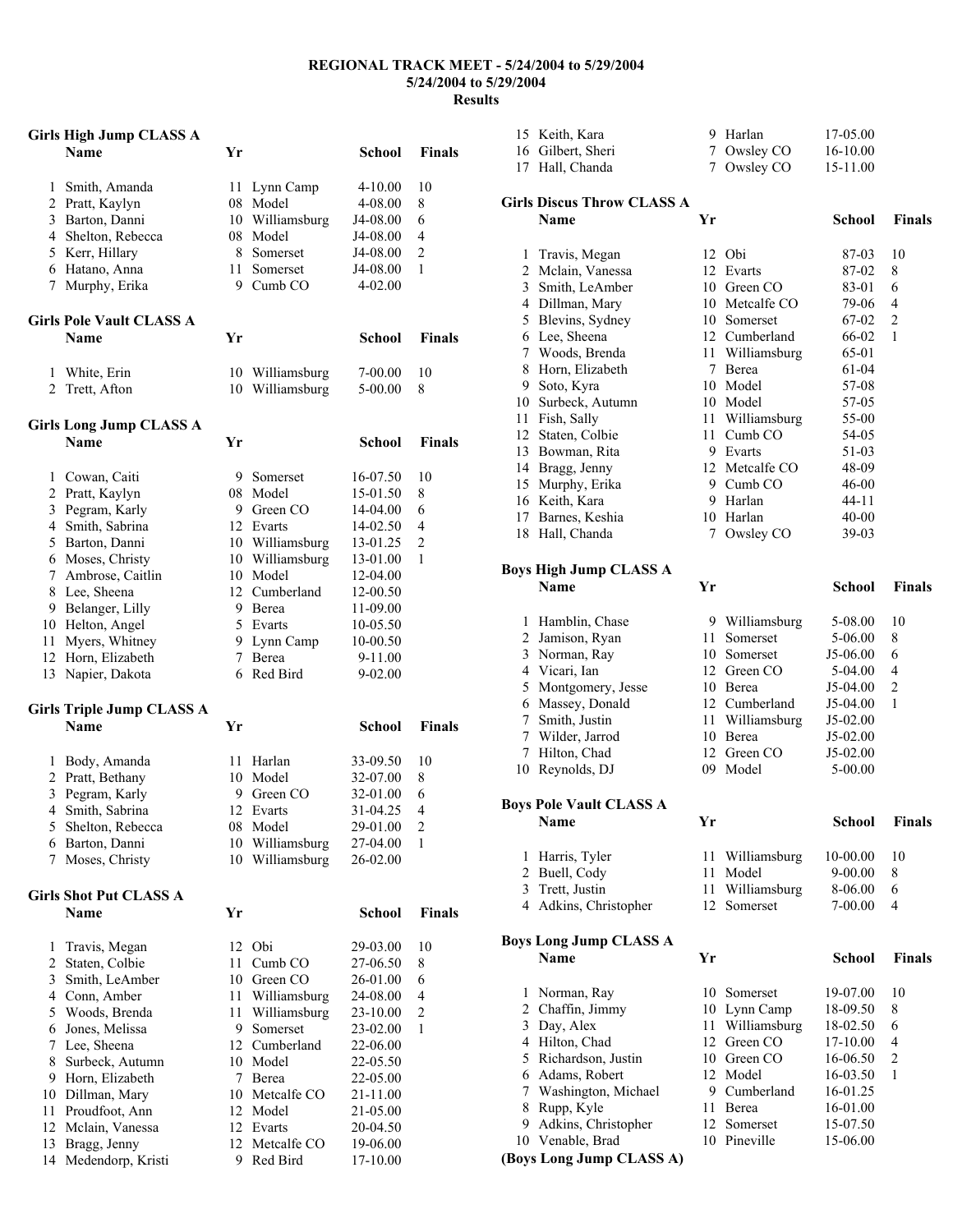## **REGIONAL TRACK MEET - 5/24/2004 to 5/29/2004 5/24/2004 to 5/29/2004 Results**

| <b>Girls High Jump CLASS A</b> |                                       |             |                    |               |                         |
|--------------------------------|---------------------------------------|-------------|--------------------|---------------|-------------------------|
|                                | <b>Name</b>                           | Yr          |                    | <b>School</b> | <b>Finals</b>           |
|                                |                                       |             |                    |               |                         |
| 1                              | Smith, Amanda                         | 11          | Lynn Camp          | $4 - 10.00$   | 10                      |
|                                | 2 Pratt, Kaylyn                       |             | 08 Model           | 4-08.00       | 8                       |
|                                | 3 Barton, Danni                       |             | 10 Williamsburg    | J4-08.00      | 6                       |
|                                | 4 Shelton, Rebecca                    |             | 08 Model           | J4-08.00      | 4                       |
|                                | 5 Kerr, Hillary                       |             | 8 Somerset         | J4-08.00      | $\overline{2}$          |
|                                | 6 Hatano, Anna                        | 11 -        | Somerset           | J4-08.00      | $\mathbf{1}$            |
| $7\overline{ }$                | Murphy, Erika                         | 9           | Cumb CO            | $4 - 02.00$   |                         |
|                                | <b>Girls Pole Vault CLASS A</b>       |             |                    |               |                         |
|                                | <b>Name</b>                           | Yr          |                    | School        | <b>Finals</b>           |
| 1                              | White, Erin                           |             | 10 Williamsburg    | 7-00.00       | 10                      |
| $\overline{2}$                 | Trett, Afton                          |             | 10 Williamsburg    | 5-00.00       | 8                       |
|                                | <b>Girls Long Jump CLASS A</b>        |             |                    |               |                         |
|                                | <b>Name</b>                           | Yr          |                    | School        | <b>Finals</b>           |
|                                | 1 Cowan, Caiti                        |             | 9 Somerset         | 16-07.50      | 10                      |
|                                | 2 Pratt, Kaylyn                       |             | 08 Model           | 15-01.50      | 8                       |
|                                | 3 Pegram, Karly                       |             | 9 Green CO         | 14-04.00      | 6                       |
|                                | 4 Smith, Sabrina                      |             | 12 Evarts          | 14-02.50      | 4                       |
|                                | 5 Barton, Danni                       |             | 10 Williamsburg    | 13-01.25      | $\overline{c}$          |
|                                | 6 Moses, Christy                      |             | 10 Williamsburg    | 13-01.00      | 1                       |
|                                | 7 Ambrose, Caitlin                    |             | 10 Model           | 12-04.00      |                         |
|                                | 8 Lee, Sheena                         |             | 12 Cumberland      | 12-00.50      |                         |
|                                | 9 Belanger, Lilly                     |             | 9 Berea            | 11-09.00      |                         |
|                                | 10 Helton, Angel                      |             | 5 Evarts           | 10-05.50      |                         |
| 11                             | Myers, Whitney                        |             | 9 Lynn Camp        | 10-00.50      |                         |
| 12                             | Horn, Elizabeth                       | $7^{\circ}$ | Berea              | 9-11.00       |                         |
| 13                             | Napier, Dakota                        | 6           | Red Bird           | $9 - 02.00$   |                         |
|                                | <b>Girls Triple Jump CLASS A</b>      |             |                    |               |                         |
|                                | <b>Name</b>                           | Yr          |                    | School        | <b>Finals</b>           |
|                                |                                       |             |                    |               |                         |
|                                | 1 Body, Amanda                        | 11          | Harlan             | 33-09.50      | 10                      |
|                                | 2 Pratt, Bethany                      |             | 10 Model           | 32-07.00      | 8                       |
| 3                              | Pegram, Karly                         |             | 9 Green CO         | 32-01.00      | 6                       |
| $\overline{4}$                 | Smith, Sabrina                        | 12          | Evarts             | 31-04.25      | 4                       |
| 5                              | Shelton, Rebecca                      | 08          | Model              | 29-01.00      | $\overline{\mathbf{c}}$ |
| 6                              | Barton, Danni                         | 10          | Williamsburg       | 27-04.00      | 1                       |
| 7                              | Moses, Christy                        |             | 10 Williamsburg    | 26-02.00      |                         |
|                                |                                       |             |                    |               |                         |
|                                | <b>Girls Shot Put CLASS A</b><br>Name | Yr          |                    | School        | <b>Finals</b>           |
|                                |                                       |             |                    |               |                         |
| 1                              | Travis, Megan                         | 12          | Obi                | 29-03.00      | 10                      |
| 2                              | Staten, Colbie                        | 11          | Cumb <sub>CO</sub> | 27-06.50      | 8                       |
| 3                              | Smith, LeAmber                        |             | 10 Green CO        | 26-01.00      | 6                       |
|                                | 4 Conn, Amber                         |             | 11 Williamsburg    | 24-08.00      | 4                       |
| 5                              | Woods, Brenda                         | 11          | Williamsburg       | 23-10.00      | $\overline{\mathbf{c}}$ |
| 6                              | Jones, Melissa                        | 9           | Somerset           | 23-02.00      | 1                       |
| 7                              | Lee, Sheena                           |             | 12 Cumberland      | 22-06.00      |                         |
| 8                              | Surbeck, Autumn                       |             | 10 Model           | 22-05.50      |                         |
| 9                              | Horn, Elizabeth                       |             | 7 Berea            | 22-05.00      |                         |
| 10                             | Dillman, Mary                         |             | 10 Metcalfe CO     | 21-11.00      |                         |
| 11                             | Proudfoot, Ann                        |             | 12 Model           | 21-05.00      |                         |
| 12                             | Mclain, Vanessa                       | 12          | Evarts             | 20-04.50      |                         |
| 13                             | Bragg, Jenny                          | 12          | Metcalfe CO        | 19-06.00      |                         |
| 14                             | Medendorp, Kristi                     | 9           | Red Bird           | 17-10.00      |                         |

|                               | 15 Keith, Kara                        | 9           | Harlan                        | 17-05.00           |                |  |
|-------------------------------|---------------------------------------|-------------|-------------------------------|--------------------|----------------|--|
|                               | 16 Gilbert, Sheri                     |             | 7 Owsley CO                   | 16-10.00           |                |  |
|                               | 17 Hall, Chanda                       | $7^{\circ}$ | Owsley CO                     | 15-11.00           |                |  |
|                               |                                       |             |                               |                    |                |  |
|                               | <b>Girls Discus Throw CLASS A</b>     |             |                               |                    |                |  |
|                               | Name                                  | Yr          |                               | <b>School</b>      | <b>Finals</b>  |  |
|                               |                                       |             |                               |                    |                |  |
| 1                             | Travis, Megan                         |             | 12 Obi                        | 87-03              | 10             |  |
|                               | 2 Mclain, Vanessa<br>3 Smith, LeAmber |             | 12 Evarts                     | 87-02              | 8<br>6         |  |
|                               | 4 Dillman, Mary                       |             | 10 Green CO<br>10 Metcalfe CO | 83-01<br>79-06     | 4              |  |
|                               |                                       |             | 10 Somerset                   | 67-02              | $\overline{c}$ |  |
|                               | 5 Blevins, Sydney<br>6 Lee, Sheena    |             | 12 Cumberland                 | 66-02              | 1              |  |
|                               | 7 Woods, Brenda                       |             |                               | 65-01              |                |  |
|                               | 8 Horn, Elizabeth                     |             | 11 Williamsburg<br>7 Berea    | 61-04              |                |  |
|                               | 9 Soto, Kyra                          |             | 10 Model                      | 57-08              |                |  |
|                               | 10 Surbeck, Autumn                    |             | 10 Model                      | 57-05              |                |  |
|                               | 11 Fish, Sally                        |             | 11 Williamsburg               | 55-00              |                |  |
|                               | 12 Staten, Colbie                     |             | 11 Cumb CO                    | 54-05              |                |  |
|                               | 13 Bowman, Rita                       |             | 9 Evarts                      | 51-03              |                |  |
|                               | 14 Bragg, Jenny                       |             | 12 Metcalfe CO                |                    |                |  |
|                               | 15 Murphy, Erika                      |             | 9 Cumb CO                     | 48-09              |                |  |
|                               | 16 Keith, Kara                        |             | 9 Harlan                      | 46-00<br>$44 - 11$ |                |  |
|                               |                                       |             | 10 Harlan                     | $40 - 00$          |                |  |
|                               | 17 Barnes, Keshia<br>18 Hall, Chanda  | 7           | Owsley CO                     | 39-03              |                |  |
|                               |                                       |             |                               |                    |                |  |
|                               | <b>Boys High Jump CLASS A</b>         |             |                               |                    |                |  |
|                               | <b>Name</b>                           | Yr          |                               | School             | <b>Finals</b>  |  |
|                               |                                       |             |                               |                    |                |  |
|                               | 1 Hamblin, Chase                      |             | 9 Williamsburg                | 5-08.00            | 10             |  |
|                               | 2 Jamison, Ryan                       | 11          | Somerset                      | 5-06.00            | 8              |  |
|                               | 3 Norman, Ray                         |             | 10 Somerset                   | J5-06.00           | 6              |  |
|                               | 4 Vicari, Ian                         |             | 12 Green CO                   | 5-04.00            | 4              |  |
| 5                             | Montgomery, Jesse                     |             | 10 Berea                      | J5-04.00           | $\overline{c}$ |  |
|                               | 6 Massey, Donald                      |             | 12 Cumberland                 | J5-04.00           | 1              |  |
|                               | 7 Smith, Justin                       |             | 11 Williamsburg               | J5-02.00           |                |  |
|                               | 7 Wilder, Jarrod                      |             | 10 Berea                      | J5-02.00           |                |  |
|                               | 7 Hilton, Chad                        |             | 12 Green CO                   | J5-02.00           |                |  |
|                               | 10 Reynolds, DJ                       | 09          | Model                         | 5-00.00            |                |  |
|                               |                                       |             |                               |                    |                |  |
|                               | <b>Boys Pole Vault CLASS A</b>        |             |                               |                    |                |  |
|                               | Name                                  | Yr          |                               | School             | Finals         |  |
|                               |                                       |             |                               |                    |                |  |
| 1                             | Harris, Tyler                         | 11          | Williamsburg                  | 10-00.00           | 10             |  |
| $\overline{2}$                | Buell, Cody                           | 11          | Model                         | 9-00.00            | 8              |  |
|                               | 3 Trett, Justin                       | 11          | Williamsburg                  | 8-06.00            | 6<br>4         |  |
|                               | 4 Adkins, Christopher                 | 12          | Somerset                      | 7-00.00            |                |  |
| <b>Boys Long Jump CLASS A</b> |                                       |             |                               |                    |                |  |
|                               | Name                                  | Yr          |                               | <b>School</b>      | <b>Finals</b>  |  |
|                               |                                       |             |                               |                    |                |  |
| 1                             | Norman, Ray                           | 10          | Somerset                      | 19-07.00           | 10             |  |
|                               | 2 Chaffin, Jimmy                      |             | 10 Lynn Camp                  | 18-09.50           | 8              |  |
|                               | 3 Day, Alex                           | 11          | Williamsburg                  | 18-02.50           | 6              |  |
|                               | 4 Hilton, Chad                        |             | 12 Green CO                   | 17-10.00           | 4              |  |
|                               | 5 Richardson, Justin                  |             | 10 Green CO                   | 16-06.50           | 2              |  |
|                               | 6 Adams, Robert                       |             | 12 Model                      | 16-03.50           | 1              |  |
|                               | 7 Washington, Michael                 |             | 9 Cumberland                  | 16-01.25           |                |  |
| 8                             | Rupp, Kyle                            |             | 11 Berea                      | 16-01.00           |                |  |
| 9.                            | Adkins, Christopher                   |             | 12 Somerset                   | 15-07.50           |                |  |
|                               | 10 Venable, Brad                      | 10          | Pineville                     | 15-06.00           |                |  |
|                               | (Boys Long Jump CLASS A)              |             |                               |                    |                |  |